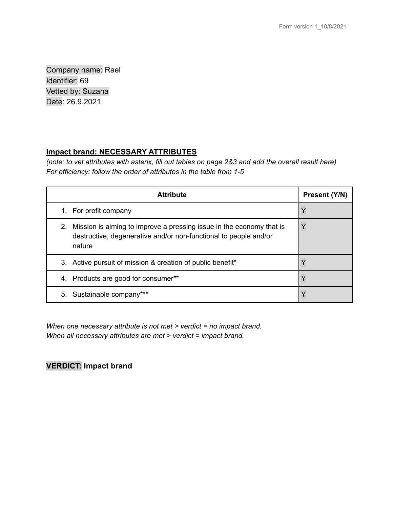Company name: Rael Identifier: 69 Vetted by: Suzana Date: 26.9.2021.

### **Impact brand: NECESSARY ATTRIBUTES**

(note: to vet attributes with asterix, fill out tables on page 2&3 and add the overall result here) *For efficiency: follow the order of attributes in the table from 1-5*

| <b>Attribute</b>                                                                                                                                         | Present (Y/N) |
|----------------------------------------------------------------------------------------------------------------------------------------------------------|---------------|
| 1. For profit company                                                                                                                                    | v             |
| Mission is aiming to improve a pressing issue in the economy that is<br>2.<br>destructive, degenerative and/or non-functional to people and/or<br>nature | ν             |
| 3. Active pursuit of mission & creation of public benefit*                                                                                               |               |
| 4. Products are good for consumer**                                                                                                                      |               |
| 5. Sustainable company***                                                                                                                                |               |

*When one necessary attribute is not met > verdict = no impact brand. When all necessary attributes are met > verdict = impact brand.*

# **VERDICT: Impact brand**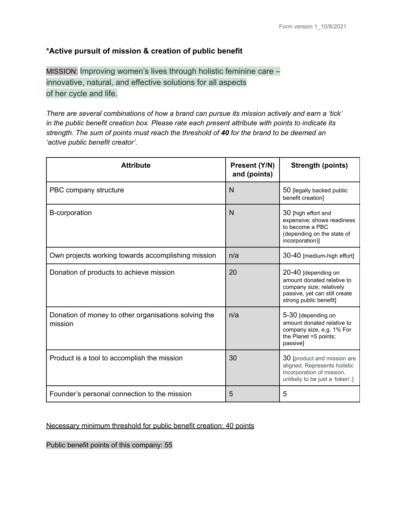## **\*Active pursuit of mission & creation of public benefit**

MISSION: Improving women's lives through holistic feminine care – innovative, natural, and effective solutions for all aspects of her cycle and life.

*There are several combinations of how a brand can pursue its mission actively and earn a 'tick' in the public benefit creation box. Please rate each present attribute with points to indicate its strength. The sum of points must reach the threshold of 40 for the brand to be deemed an 'active public benefit creator'.*

| <b>Attribute</b>                                                | Present (Y/N)<br>and (points) | <b>Strength (points)</b>                                                                                                                 |
|-----------------------------------------------------------------|-------------------------------|------------------------------------------------------------------------------------------------------------------------------------------|
| PBC company structure                                           | N                             | 50 [legally backed public<br>benefit creation]                                                                                           |
| <b>B-corporation</b>                                            | $\overline{N}$                | 30 [high effort and<br>expensive; shows readiness<br>to become a PBC<br>(depending on the state of<br>incorporation)]                    |
| Own projects working towards accomplishing mission              | n/a                           | 30-40 [medium-high effort]                                                                                                               |
| Donation of products to achieve mission                         | 20                            | 20-40 [depending on<br>amount donated relative to<br>company size; relatively<br>passive, yet can still create<br>strong public benefit] |
| Donation of money to other organisations solving the<br>mission | n/a                           | 5-30 [depending on<br>amount donated relative to<br>company size, e.g. 1% For<br>the Planet =5 points;<br>passivel                       |
| Product is a tool to accomplish the mission                     | 30                            | 30 [product and mission are<br>aligned. Represents holistic<br>incorporation of mission,<br>unlikely to be just a 'token'.]              |
| Founder's personal connection to the mission                    | 5                             | 5                                                                                                                                        |

## Necessary minimum threshold for public benefit creation: 40 points

Public benefit points of this company: 55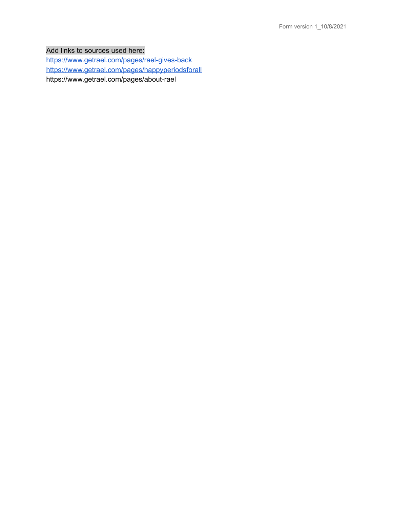Add links to sources used here:

<https://www.getrael.com/pages/rael-gives-back> <https://www.getrael.com/pages/happyperiodsforall> https://www.getrael.com/pages/about-rael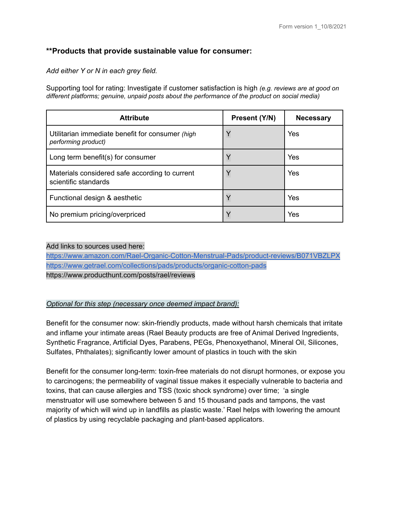### **\*\*Products that provide sustainable value for consumer:**

*Add either Y or N in each grey field.*

Supporting tool for rating: Investigate if customer satisfaction is high *(e.g. reviews are at good on different platforms; genuine, unpaid posts about the performance of the product on social media)*

| <b>Attribute</b>                                                        | Present (Y/N) | <b>Necessary</b> |
|-------------------------------------------------------------------------|---------------|------------------|
| Utilitarian immediate benefit for consumer (high<br>performing product) | Y             | Yes              |
| Long term benefit(s) for consumer                                       | $\checkmark$  | Yes              |
| Materials considered safe according to current<br>scientific standards  | Y             | Yes              |
| Functional design & aesthetic                                           | Y             | Yes              |
| No premium pricing/overpriced                                           |               | Yes              |

#### Add links to sources used here:

<https://www.amazon.com/Rael-Organic-Cotton-Menstrual-Pads/product-reviews/B071VBZLPX> <https://www.getrael.com/collections/pads/products/organic-cotton-pads> https://www.producthunt.com/posts/rael/reviews

#### *Optional for this step (necessary once deemed impact brand):*

Benefit for the consumer now: skin-friendly products, made without harsh chemicals that irritate and inflame your intimate areas (Rael Beauty products are free of Animal Derived Ingredients, Synthetic Fragrance, Artificial Dyes, Parabens, PEGs, Phenoxyethanol, Mineral Oil, Silicones, Sulfates, Phthalates); significantly lower amount of plastics in touch with the skin

Benefit for the consumer long-term: toxin-free materials do not disrupt hormones, or expose you to carcinogens; the permeability of vaginal tissue makes it especially vulnerable to bacteria and toxins, that can cause allergies and TSS (toxic shock syndrome) over time; 'a single menstruator will use somewhere between 5 and 15 thousand pads and tampons, the vast majority of which will wind up in landfills as plastic waste.' Rael helps with lowering the amount of plastics by using recyclable packaging and plant-based applicators.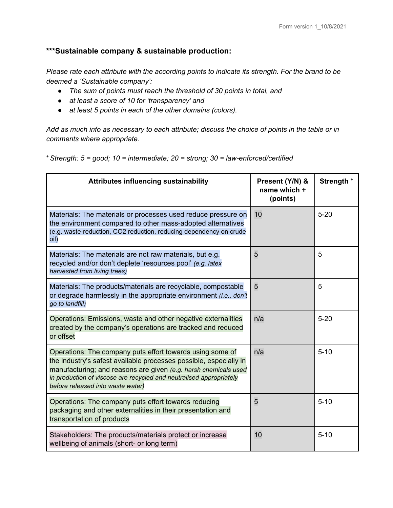## **\*\*\*Sustainable company & sustainable production:**

*Please rate each attribute with the according points to indicate its strength. For the brand to be deemed a 'Sustainable company':*

- *● The sum of points must reach the threshold of 30 points in total, and*
- *● at least a score of 10 for 'transparency' and*
- *● at least 5 points in each of the other domains (colors).*

Add as much info as necessary to each attribute; discuss the choice of points in the table or in *comments where appropriate.*

*<sup>+</sup> Strength: 5 = good; 10 = intermediate; 20 = strong; 30 = law-enforced/certified*

| Attributes influencing sustainability                                                                                                                                                                                                                                                                         | Present (Y/N) &<br>name which +<br>(points) | Strength <sup>+</sup> |
|---------------------------------------------------------------------------------------------------------------------------------------------------------------------------------------------------------------------------------------------------------------------------------------------------------------|---------------------------------------------|-----------------------|
| Materials: The materials or processes used reduce pressure on<br>the environment compared to other mass-adopted alternatives<br>(e.g. waste-reduction, CO2 reduction, reducing dependency on crude<br>oil)                                                                                                    | 10                                          | $5 - 20$              |
| Materials: The materials are not raw materials, but e.g.<br>recycled and/or don't deplete 'resources pool' (e.g. latex<br>harvested from living trees)                                                                                                                                                        | 5                                           | 5                     |
| Materials: The products/materials are recyclable, compostable<br>or degrade harmlessly in the appropriate environment (i.e., don't<br>go to landfill)                                                                                                                                                         | 5                                           | 5                     |
| Operations: Emissions, waste and other negative externalities<br>created by the company's operations are tracked and reduced<br>or offset                                                                                                                                                                     | n/a                                         | $5 - 20$              |
| Operations: The company puts effort towards using some of<br>the industry's safest available processes possible, especially in<br>manufacturing; and reasons are given (e.g. harsh chemicals used<br>in production of viscose are recycled and neutralised appropriately<br>before released into waste water) | n/a                                         | $5 - 10$              |
| Operations: The company puts effort towards reducing<br>packaging and other externalities in their presentation and<br>transportation of products                                                                                                                                                             | 5                                           | $5 - 10$              |
| Stakeholders: The products/materials protect or increase<br>wellbeing of animals (short- or long term)                                                                                                                                                                                                        | 10                                          | $5 - 10$              |